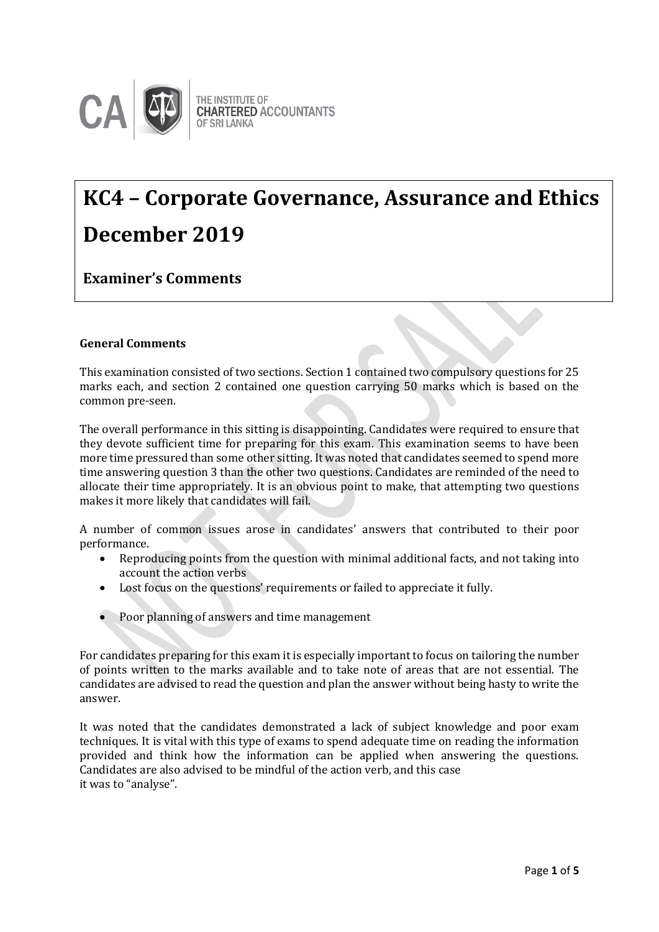

# **KC4 – Corporate Governance, Assurance and Ethics December 2019**

**Examiner's Comments**

# **General Comments**

This examination consisted of two sections. Section 1 contained two compulsory questions for 25 marks each, and section 2 contained one question carrying 50 marks which is based on the common pre-seen.

The overall performance in this sitting is disappointing. Candidates were required to ensure that they devote sufficient time for preparing for this exam. This examination seems to have been more time pressured than some other sitting. It was noted that candidates seemed to spend more time answering question 3 than the other two questions. Candidates are reminded of the need to allocate their time appropriately. It is an obvious point to make, that attempting two questions makes it more likely that candidates will fail.

A number of common issues arose in candidates' answers that contributed to their poor performance.

- Reproducing points from the question with minimal additional facts, and not taking into account the action verbs
- Lost focus on the questions' requirements or failed to appreciate it fully.
- Poor planning of answers and time management

For candidates preparing for this exam it is especially important to focus on tailoring the number of points written to the marks available and to take note of areas that are not essential. The candidates are advised to read the question and plan the answer without being hasty to write the answer.

It was noted that the candidates demonstrated a lack of subject knowledge and poor exam techniques. It is vital with this type of exams to spend adequate time on reading the information provided and think how the information can be applied when answering the questions. Candidates are also advised to be mindful of the action verb, and this case it was to "analyse".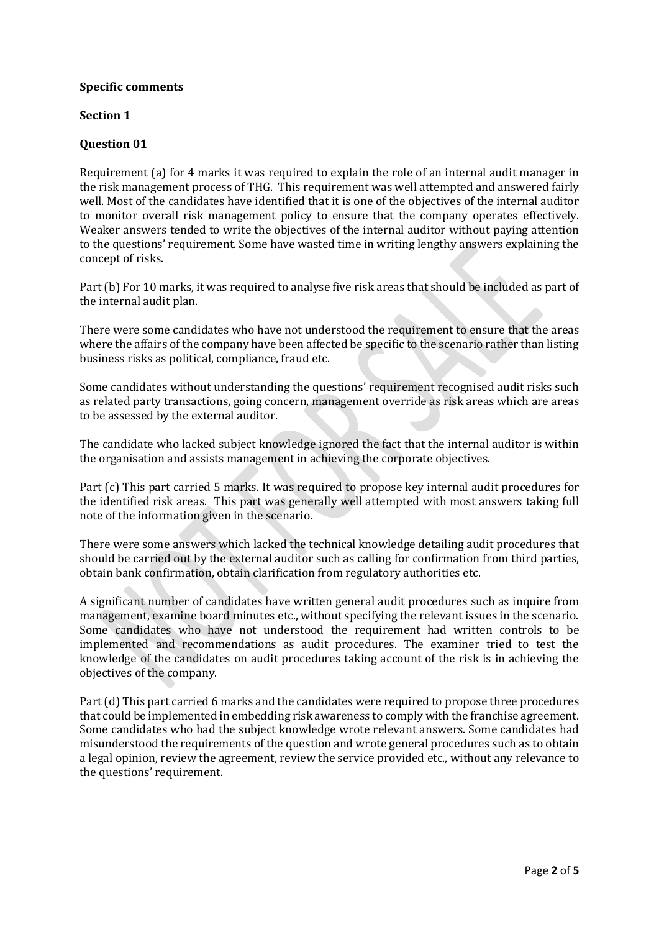#### **Specific comments**

#### **Section 1**

#### **Question 01**

Requirement (a) for 4 marks it was required to explain the role of an internal audit manager in the risk management process of THG. This requirement was well attempted and answered fairly well. Most of the candidates have identified that it is one of the objectives of the internal auditor to monitor overall risk management policy to ensure that the company operates effectively. Weaker answers tended to write the objectives of the internal auditor without paying attention to the questions' requirement. Some have wasted time in writing lengthy answers explaining the concept of risks.

Part (b) For 10 marks, it was required to analyse five risk areas that should be included as part of the internal audit plan.

There were some candidates who have not understood the requirement to ensure that the areas where the affairs of the company have been affected be specific to the scenario rather than listing business risks as political, compliance, fraud etc.

Some candidates without understanding the questions' requirement recognised audit risks such as related party transactions, going concern, management override as risk areas which are areas to be assessed by the external auditor.

The candidate who lacked subject knowledge ignored the fact that the internal auditor is within the organisation and assists management in achieving the corporate objectives.

Part (c) This part carried 5 marks. It was required to propose key internal audit procedures for the identified risk areas. This part was generally well attempted with most answers taking full note of the information given in the scenario.

There were some answers which lacked the technical knowledge detailing audit procedures that should be carried out by the external auditor such as calling for confirmation from third parties, obtain bank confirmation, obtain clarification from regulatory authorities etc.

A significant number of candidates have written general audit procedures such as inquire from management, examine board minutes etc., without specifying the relevant issues in the scenario. Some candidates who have not understood the requirement had written controls to be implemented and recommendations as audit procedures. The examiner tried to test the knowledge of the candidates on audit procedures taking account of the risk is in achieving the objectives of the company.

Part (d) This part carried 6 marks and the candidates were required to propose three procedures that could be implemented in embedding risk awareness to comply with the franchise agreement. Some candidates who had the subject knowledge wrote relevant answers. Some candidates had misunderstood the requirements of the question and wrote general procedures such as to obtain a legal opinion, review the agreement, review the service provided etc., without any relevance to the questions' requirement.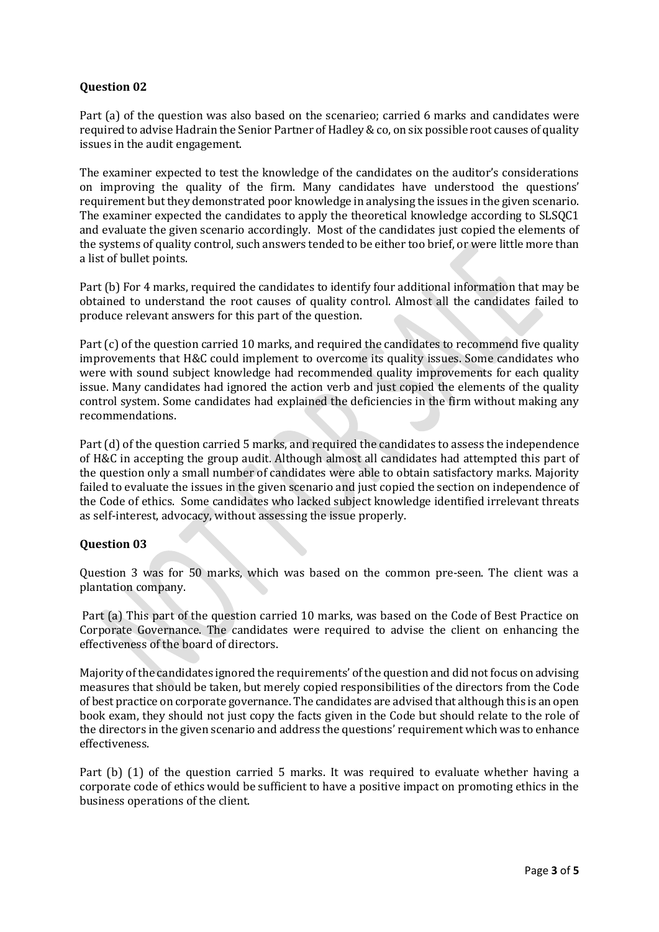## **Question 02**

Part (a) of the question was also based on the scenarieo; carried 6 marks and candidates were required to advise Hadrain the Senior Partner of Hadley& co, on six possible root causes of quality issues in the audit engagement.

The examiner expected to test the knowledge of the candidates on the auditor's considerations on improving the quality of the firm. Many candidates have understood the questions' requirement but they demonstrated poor knowledge in analysing the issues in the given scenario. The examiner expected the candidates to apply the theoretical knowledge according to SLSQC1 and evaluate the given scenario accordingly. Most of the candidates just copied the elements of the systems of quality control, such answers tended to be either too brief, or were little more than a list of bullet points.

Part (b) For 4 marks, required the candidates to identify four additional information that may be obtained to understand the root causes of quality control. Almost all the candidates failed to produce relevant answers for this part of the question.

Part (c) of the question carried 10 marks, and required the candidates to recommend five quality improvements that H&C could implement to overcome its quality issues. Some candidates who were with sound subject knowledge had recommended quality improvements for each quality issue. Many candidates had ignored the action verb and just copied the elements of the quality control system. Some candidates had explained the deficiencies in the firm without making any recommendations.

Part (d) of the question carried 5 marks, and required the candidates to assess the independence of H&C in accepting the group audit. Although almost all candidates had attempted this part of the question only a small number of candidates were able to obtain satisfactory marks. Majority failed to evaluate the issues in the given scenario and just copied the section on independence of the Code of ethics. Some candidates who lacked subject knowledge identified irrelevant threats as self-interest, advocacy, without assessing the issue properly.

## **Question 03**

Question 3 was for 50 marks, which was based on the common pre-seen. The client was a plantation company.

Part (a) This part of the question carried 10 marks, was based on the Code of Best Practice on Corporate Governance. The candidates were required to advise the client on enhancing the effectiveness of the board of directors.

Majority of the candidates ignored the requirements' of the question and did not focus on advising measures that should be taken, but merely copied responsibilities of the directors from the Code of best practice on corporate governance. The candidates are advised that although this is an open book exam, they should not just copy the facts given in the Code but should relate to the role of the directors in the given scenario and address the questions' requirement which was to enhance effectiveness.

Part (b) (1) of the question carried 5 marks. It was required to evaluate whether having a corporate code of ethics would be sufficient to have a positive impact on promoting ethics in the business operations of the client.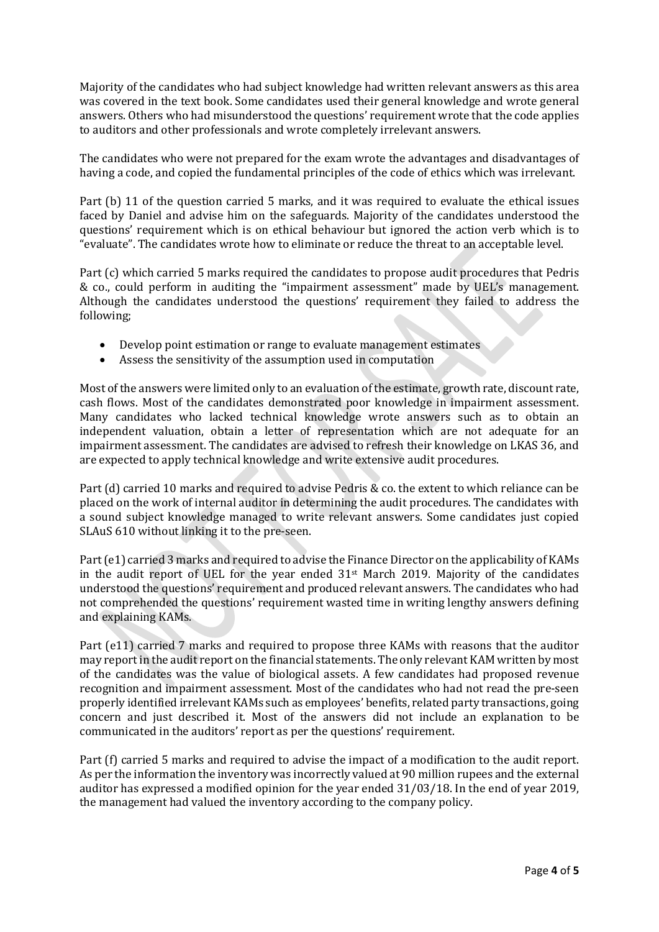Majority of the candidates who had subject knowledge had written relevant answers as this area was covered in the text book. Some candidates used their general knowledge and wrote general answers. Others who had misunderstood the questions' requirement wrote that the code applies to auditors and other professionals and wrote completely irrelevant answers.

The candidates who were not prepared for the exam wrote the advantages and disadvantages of having a code, and copied the fundamental principles of the code of ethics which was irrelevant.

Part (b) 11 of the question carried 5 marks, and it was required to evaluate the ethical issues faced by Daniel and advise him on the safeguards. Majority of the candidates understood the questions' requirement which is on ethical behaviour but ignored the action verb which is to "evaluate". The candidates wrote how to eliminate or reduce the threat to an acceptable level.

Part (c) which carried 5 marks required the candidates to propose audit procedures that Pedris & co., could perform in auditing the "impairment assessment" made by UEL's management. Although the candidates understood the questions' requirement they failed to address the following;

- Develop point estimation or range to evaluate management estimates
- Assess the sensitivity of the assumption used in computation

Most of the answers were limited only to an evaluation of the estimate, growth rate, discount rate, cash flows. Most of the candidates demonstrated poor knowledge in impairment assessment. Many candidates who lacked technical knowledge wrote answers such as to obtain an independent valuation, obtain a letter of representation which are not adequate for an impairment assessment. The candidates are advised to refresh their knowledge on LKAS 36, and are expected to apply technical knowledge and write extensive audit procedures.

Part (d) carried 10 marks and required to advise Pedris & co. the extent to which reliance can be placed on the work of internal auditor in determining the audit procedures. The candidates with a sound subject knowledge managed to write relevant answers. Some candidates just copied SLAuS 610 without linking it to the pre-seen.

Part (e1) carried 3 marks and required to advise the Finance Director on the applicability of KAMs in the audit report of UEL for the year ended  $31<sup>st</sup>$  March 2019. Majority of the candidates understood the questions' requirement and produced relevant answers. The candidates who had not comprehended the questions' requirement wasted time in writing lengthy answers defining and explaining KAMs.

Part (e11) carried 7 marks and required to propose three KAMs with reasons that the auditor may report in the audit report on the financial statements. The only relevant KAM written by most of the candidates was the value of biological assets. A few candidates had proposed revenue recognition and impairment assessment. Most of the candidates who had not read the pre-seen properly identified irrelevant KAMs such as employees' benefits, related party transactions, going concern and just described it. Most of the answers did not include an explanation to be communicated in the auditors' report as per the questions' requirement.

Part (f) carried 5 marks and required to advise the impact of a modification to the audit report. As per the information the inventory was incorrectly valued at 90 million rupees and the external auditor has expressed a modified opinion for the year ended 31/03/18. In the end of year 2019, the management had valued the inventory according to the company policy.